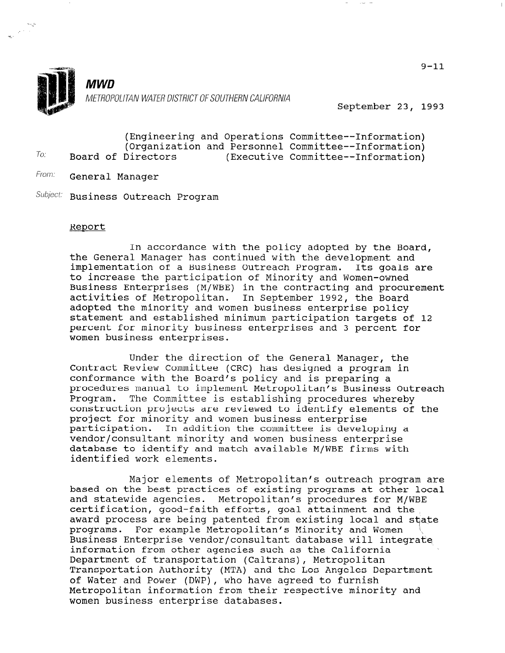

u.,

MWD METROPOLITAN WATER DISTRICT OF SOUTHERN CALIFORNIA

September 23, 1993

|     |  |                    |  | (Engineering and Operations Committee--Information) |
|-----|--|--------------------|--|-----------------------------------------------------|
|     |  |                    |  | (Organization and Personnel Committee--Information) |
| To: |  | Board of Directors |  | (Executive Committee--Information)                  |

From: **General Manager** 

Subject: Business Outreach Program

## Report

In accordance with the policy adopted by the Board, the General Manager has continued with the development and implementation of a Business Outreach Program. Its goals are to increase the participation of Minority and Women-owned Business Enterprises (M/WBE) in the contracting and procurement activities of Metropolitan. In September 1992, the Board adopted the minority and women business enterprise policy statement and established minimum participation targets of 12 percent for minority business enterprises and 3 percent for women business enterprises.

Under the direction of the General Manager, the Contract Review Committee (CRC) has designed a program in conformance with the Board's policy and is preparing a procedures manual to implement Metropolitan's Business Outreach Program. The Committee is establishing procedures whereby construction projects are reviewed to identify elements of the project for minority and women business enterprise participation. In addition the committee is developing a vendor/consultant minority and women business enterprise database to identify and match available M/WBE firms with identified work elements.

Major elements of Metropolitan's outreach program are najor erements or netroportican s outreach program at and statewide agencies. Metropolitan's procedures for M/WBE and statewide agencies. Metropolitan's procedures for m/wbr certification, good-raith errorts, goal attainment and the award process are being patented from existing local and state programs. For example Metropolitan's Minority and Women \\ \<br>Business Enterprise vendor/consultant database will integrate information from other agencies such as the California Department of transportation (Caltrans), Metropolitan Department of transportation (Caltrans), Metropolitan Transportation Authority (MTA) and the Los Angeles Department of Water and Power (DWP), who have agreed to furnish Metropolitan information from their respective minority and<br>women business enterprise databases.